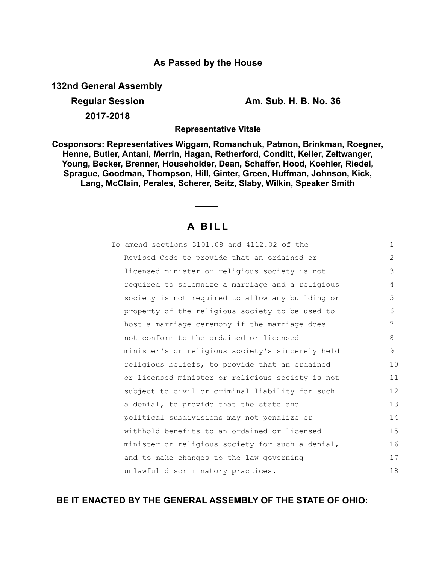## **As Passed by the House**

**132nd General Assembly**

**2017-2018**

**Regular Session Am. Sub. H. B. No. 36**

**Representative Vitale**

**Cosponsors: Representatives Wiggam, Romanchuk, Patmon, Brinkman, Roegner, Henne, Butler, Antani, Merrin, Hagan, Retherford, Conditt, Keller, Zeltwanger, Young, Becker, Brenner, Householder, Dean, Schaffer, Hood, Koehler, Riedel, Sprague, Goodman, Thompson, Hill, Ginter, Green, Huffman, Johnson, Kick, Lang, McClain, Perales, Scherer, Seitz, Slaby, Wilkin, Speaker Smith**

# **A B I L L**

| To amend sections 3101.08 and 4112.02 of the     | $\mathbf{1}$ |
|--------------------------------------------------|--------------|
| Revised Code to provide that an ordained or      | 2            |
| licensed minister or religious society is not    | 3            |
| required to solemnize a marriage and a religious | 4            |
| society is not required to allow any building or | 5            |
| property of the religious society to be used to  | 6            |
| host a marriage ceremony if the marriage does    | 7            |
| not conform to the ordained or licensed          | 8            |
| minister's or religious society's sincerely held | 9            |
| religious beliefs, to provide that an ordained   | 10           |
| or licensed minister or religious society is not | 11           |
| subject to civil or criminal liability for such  | 12           |
| a denial, to provide that the state and          | 13           |
| political subdivisions may not penalize or       | 14           |
| withhold benefits to an ordained or licensed     | 15           |
| minister or religious society for such a denial, | 16           |
| and to make changes to the law governing         | 17           |
| unlawful discriminatory practices.               | 18           |

# **BE IT ENACTED BY THE GENERAL ASSEMBLY OF THE STATE OF OHIO:**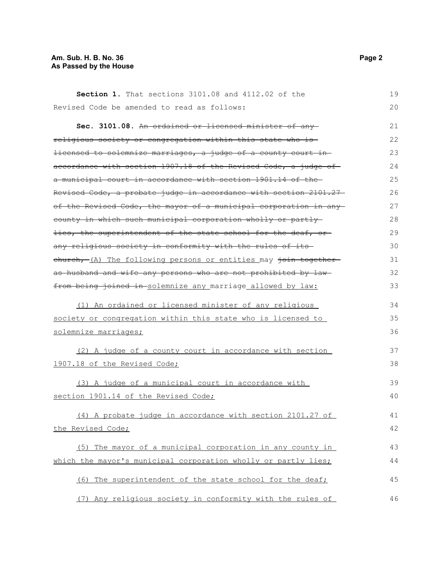### **Am. Sub. H. B. No. 36 Page 2 As Passed by the House**

| Section 1. That sections 3101.08 and 4112.02 of the              | 19 |
|------------------------------------------------------------------|----|
| Revised Code be amended to read as follows:                      | 20 |
| Sec. 3101.08. An ordained or licensed minister of any            | 21 |
| religious society or congregation within this state who is-      | 22 |
| licensed to solemnize marriages, a judge of a county court in    | 23 |
| accordance with section 1907.18 of the Revised Code, a judge of  | 24 |
| a municipal court in accordance with section 1901.14 of the      | 25 |
| Revised Code, a probate judge in accordance with section 2101.27 | 26 |
| of the Revised Code, the mayor of a municipal corporation in any | 27 |
| county in which such municipal corporation wholly or partly      | 28 |
| lies, the superintendent of the state school for the deaf, or-   | 29 |
| any religious society in conformity with the rules of its-       | 30 |
| ehurch, (A) The following persons or entities may join together  | 31 |
| as husband and wife any persons who are not prohibited by law-   | 32 |
| from being joined in solemnize any marriage allowed by law:      | 33 |
| (1) An ordained or licensed minister of any religious            | 34 |
| society or congregation within this state who is licensed to     | 35 |
| solemnize marriages;                                             | 36 |
| (2) A judge of a county court in accordance with section         | 37 |
| 1907.18 of the Revised Code;                                     | 38 |
| (3) A judge of a municipal court in accordance with              | 39 |
| section 1901.14 of the Revised Code;                             | 40 |
| (4) A probate judge in accordance with section 2101.27 of        | 41 |
| the Revised Code;                                                | 42 |
|                                                                  |    |
| (5) The mayor of a municipal corporation in any county in        | 43 |
| which the mayor's municipal corporation wholly or partly lies;   | 44 |
| (6) The superintendent of the state school for the deaf;         | 45 |
| (7) Any religious society in conformity with the rules of        | 46 |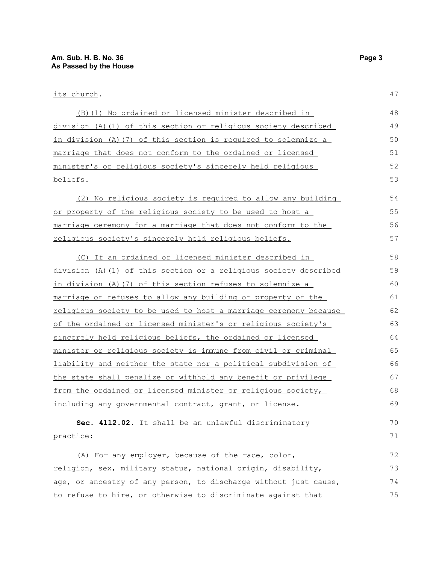| (B) (1) No ordained or licensed minister described in            | 48 |
|------------------------------------------------------------------|----|
| division (A)(1) of this section or religious society described   | 49 |
| in division (A) (7) of this section is required to solemnize a   | 50 |
| marriage that does not conform to the ordained or licensed       | 51 |
| minister's or religious society's sincerely held religious       | 52 |
| beliefs.                                                         | 53 |
| (2) No religious society is required to allow any building       | 54 |
| or property of the religious society to be used to host a        | 55 |
| marriage ceremony for a marriage that does not conform to the    | 56 |
| religious society's sincerely held religious beliefs.            | 57 |
| (C) If an ordained or licensed minister described in             | 58 |
| division (A)(1) of this section or a religious society described | 59 |
| in division (A) (7) of this section refuses to solemnize a       | 60 |
| marriage or refuses to allow any building or property of the     | 61 |
| religious society to be used to host a marriage ceremony because | 62 |
| of the ordained or licensed minister's or religious society's    | 63 |
| sincerely held religious beliefs, the ordained or licensed       | 64 |
| minister or religious society is immune from civil or criminal   | 65 |
| liability and neither the state nor a political subdivision of   | 66 |
| the state shall penalize or withhold any benefit or privilege    | 67 |
| from the ordained or licensed minister or religious society,     | 68 |
| including any governmental contract, grant, or license.          | 69 |
| Sec. 4112.02. It shall be an unlawful discriminatory             | 70 |
| practice:                                                        | 71 |
| (A) For any employer, because of the race, color,                | 72 |
| religion, sex, military status, national origin, disability,     | 73 |
| age, or ancestry of any person, to discharge without just cause, | 74 |
| to refuse to hire, or otherwise to discriminate against that     | 75 |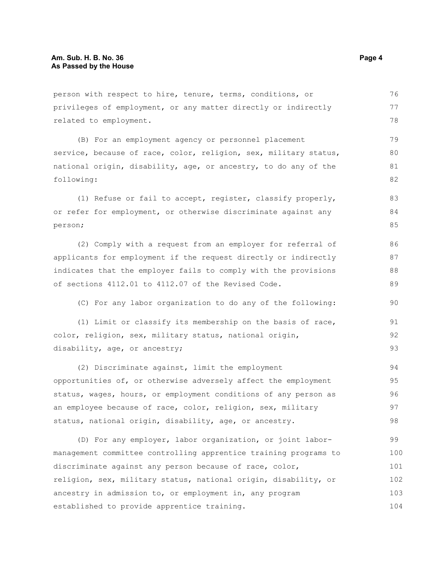person with respect to hire, tenure, terms, conditions, or privileges of employment, or any matter directly or indirectly related to employment.

(B) For an employment agency or personnel placement service, because of race, color, religion, sex, military status, national origin, disability, age, or ancestry, to do any of the following: 79 80 81 82

(1) Refuse or fail to accept, register, classify properly, or refer for employment, or otherwise discriminate against any person; 83 84 85

(2) Comply with a request from an employer for referral of applicants for employment if the request directly or indirectly indicates that the employer fails to comply with the provisions of sections 4112.01 to 4112.07 of the Revised Code.

(C) For any labor organization to do any of the following:

(1) Limit or classify its membership on the basis of race, color, religion, sex, military status, national origin, disability, age, or ancestry; 91 92 93

(2) Discriminate against, limit the employment opportunities of, or otherwise adversely affect the employment status, wages, hours, or employment conditions of any person as an employee because of race, color, religion, sex, military status, national origin, disability, age, or ancestry. 94 95 96 97 98

(D) For any employer, labor organization, or joint labormanagement committee controlling apprentice training programs to discriminate against any person because of race, color, religion, sex, military status, national origin, disability, or ancestry in admission to, or employment in, any program established to provide apprentice training. 99 100 101 102 103 104

76 77 78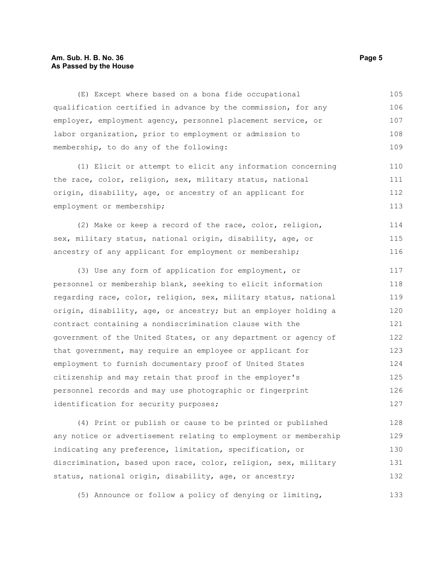### **Am. Sub. H. B. No. 36 Page 5 As Passed by the House**

| (E) Except where based on a bona fide occupational              | 105 |
|-----------------------------------------------------------------|-----|
| qualification certified in advance by the commission, for any   | 106 |
| employer, employment agency, personnel placement service, or    | 107 |
| labor organization, prior to employment or admission to         | 108 |
| membership, to do any of the following:                         | 109 |
| (1) Elicit or attempt to elicit any information concerning      | 110 |
| the race, color, religion, sex, military status, national       | 111 |
| origin, disability, age, or ancestry of an applicant for        | 112 |
| employment or membership;                                       | 113 |
| (2) Make or keep a record of the race, color, religion,         | 114 |
| sex, military status, national origin, disability, age, or      | 115 |
| ancestry of any applicant for employment or membership;         | 116 |
| (3) Use any form of application for employment, or              | 117 |
| personnel or membership blank, seeking to elicit information    | 118 |
| regarding race, color, religion, sex, military status, national | 119 |
| origin, disability, age, or ancestry; but an employer holding a | 120 |
| contract containing a nondiscrimination clause with the         | 121 |
| government of the United States, or any department or agency of | 122 |
| that government, may require an employee or applicant for       | 123 |
| employment to furnish documentary proof of United States        | 124 |
| citizenship and may retain that proof in the employer's         | 125 |
| personnel records and may use photographic or fingerprint       | 126 |
| identification for security purposes;                           | 127 |
|                                                                 | .   |

(4) Print or publish or cause to be printed or published any notice or advertisement relating to employment or membership indicating any preference, limitation, specification, or discrimination, based upon race, color, religion, sex, military status, national origin, disability, age, or ancestry; 128 129 130 131 132

(5) Announce or follow a policy of denying or limiting,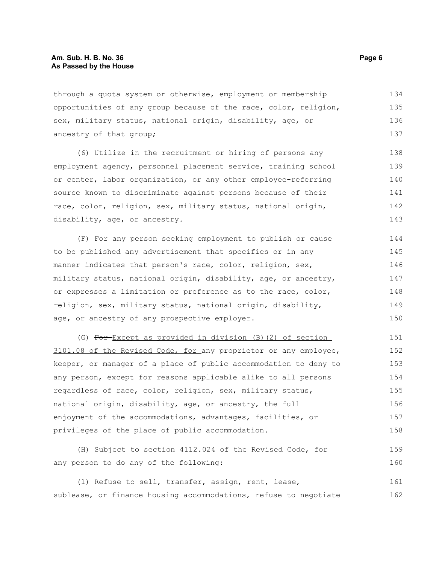through a quota system or otherwise, employment or membership opportunities of any group because of the race, color, religion, sex, military status, national origin, disability, age, or ancestry of that group; 134 135 137

(6) Utilize in the recruitment or hiring of persons any employment agency, personnel placement service, training school or center, labor organization, or any other employee-referring source known to discriminate against persons because of their race, color, religion, sex, military status, national origin, disability, age, or ancestry. 138 139 140 141 142 143

(F) For any person seeking employment to publish or cause to be published any advertisement that specifies or in any manner indicates that person's race, color, religion, sex, military status, national origin, disability, age, or ancestry, or expresses a limitation or preference as to the race, color, religion, sex, military status, national origin, disability, age, or ancestry of any prospective employer. 144 145 146 147 148 149 150

(G) For Except as provided in division (B)(2) of section 3101.08 of the Revised Code, for any proprietor or any employee, keeper, or manager of a place of public accommodation to deny to any person, except for reasons applicable alike to all persons regardless of race, color, religion, sex, military status, national origin, disability, age, or ancestry, the full enjoyment of the accommodations, advantages, facilities, or privileges of the place of public accommodation. 151 152 153 154 155 156 157 158

(H) Subject to section 4112.024 of the Revised Code, for any person to do any of the following: 159 160

(1) Refuse to sell, transfer, assign, rent, lease, sublease, or finance housing accommodations, refuse to negotiate 161 162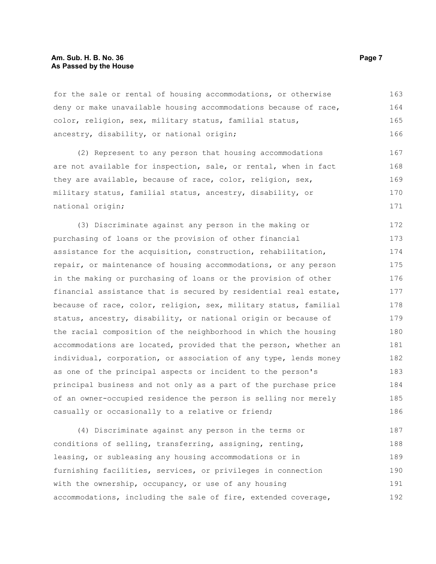for the sale or rental of housing accommodations, or otherwise deny or make unavailable housing accommodations because of race, color, religion, sex, military status, familial status, ancestry, disability, or national origin; 163 164 165 166

(2) Represent to any person that housing accommodations are not available for inspection, sale, or rental, when in fact they are available, because of race, color, religion, sex, military status, familial status, ancestry, disability, or national origin; 167 168 169 170 171

(3) Discriminate against any person in the making or purchasing of loans or the provision of other financial assistance for the acquisition, construction, rehabilitation, repair, or maintenance of housing accommodations, or any person in the making or purchasing of loans or the provision of other financial assistance that is secured by residential real estate, because of race, color, religion, sex, military status, familial status, ancestry, disability, or national origin or because of the racial composition of the neighborhood in which the housing accommodations are located, provided that the person, whether an individual, corporation, or association of any type, lends money as one of the principal aspects or incident to the person's principal business and not only as a part of the purchase price of an owner-occupied residence the person is selling nor merely casually or occasionally to a relative or friend; 172 173 174 175 176 177 178 179 180 181 182 183 184 185 186

(4) Discriminate against any person in the terms or conditions of selling, transferring, assigning, renting, leasing, or subleasing any housing accommodations or in furnishing facilities, services, or privileges in connection with the ownership, occupancy, or use of any housing accommodations, including the sale of fire, extended coverage, 187 188 189 190 191 192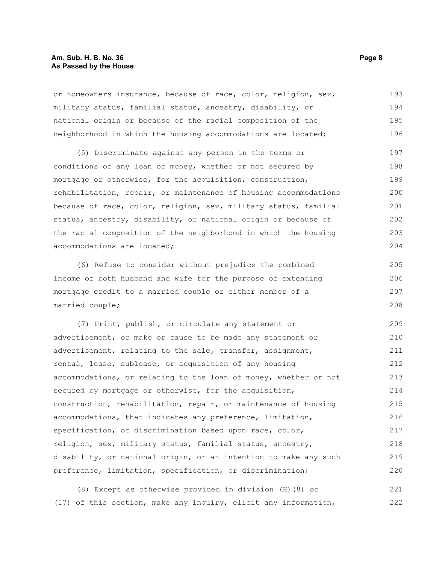### **Am. Sub. H. B. No. 36 Page 8 As Passed by the House**

or homeowners insurance, because of race, color, religion, sex, military status, familial status, ancestry, disability, or national origin or because of the racial composition of the neighborhood in which the housing accommodations are located; 193 194 195 196

(5) Discriminate against any person in the terms or conditions of any loan of money, whether or not secured by mortgage or otherwise, for the acquisition, construction, rehabilitation, repair, or maintenance of housing accommodations because of race, color, religion, sex, military status, familial status, ancestry, disability, or national origin or because of the racial composition of the neighborhood in which the housing accommodations are located; 197 198 199 200 201 202 203 204

(6) Refuse to consider without prejudice the combined income of both husband and wife for the purpose of extending mortgage credit to a married couple or either member of a married couple;

(7) Print, publish, or circulate any statement or advertisement, or make or cause to be made any statement or advertisement, relating to the sale, transfer, assignment, rental, lease, sublease, or acquisition of any housing accommodations, or relating to the loan of money, whether or not secured by mortgage or otherwise, for the acquisition, construction, rehabilitation, repair, or maintenance of housing accommodations, that indicates any preference, limitation, specification, or discrimination based upon race, color, religion, sex, military status, familial status, ancestry, disability, or national origin, or an intention to make any such preference, limitation, specification, or discrimination; 209 210 211 212 213 214 215 216 217 218 219 220

(8) Except as otherwise provided in division (H)(8) or (17) of this section, make any inquiry, elicit any information, 221 222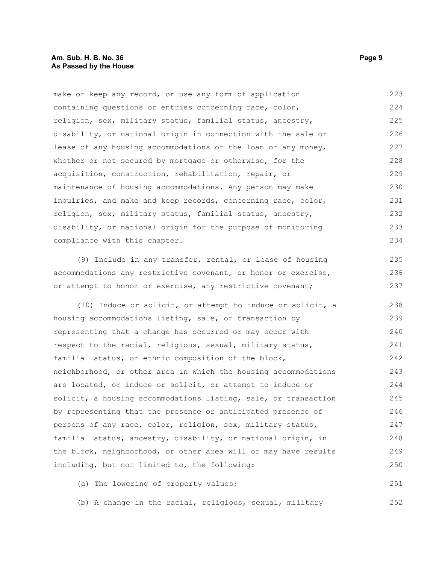make or keep any record, or use any form of application containing questions or entries concerning race, color, religion, sex, military status, familial status, ancestry, disability, or national origin in connection with the sale or lease of any housing accommodations or the loan of any money, whether or not secured by mortgage or otherwise, for the acquisition, construction, rehabilitation, repair, or maintenance of housing accommodations. Any person may make inquiries, and make and keep records, concerning race, color, religion, sex, military status, familial status, ancestry, disability, or national origin for the purpose of monitoring compliance with this chapter. 223 224 225 226 227 228 229 230 231 232 233 234

(9) Include in any transfer, rental, or lease of housing accommodations any restrictive covenant, or honor or exercise, or attempt to honor or exercise, any restrictive covenant;

(10) Induce or solicit, or attempt to induce or solicit, a housing accommodations listing, sale, or transaction by representing that a change has occurred or may occur with respect to the racial, religious, sexual, military status, familial status, or ethnic composition of the block, neighborhood, or other area in which the housing accommodations are located, or induce or solicit, or attempt to induce or solicit, a housing accommodations listing, sale, or transaction by representing that the presence or anticipated presence of persons of any race, color, religion, sex, military status, familial status, ancestry, disability, or national origin, in the block, neighborhood, or other area will or may have results including, but not limited to, the following: 238 239 240 241 242 243 244 245 246 247 248 249 250

(a) The lowering of property values; 251

(b) A change in the racial, religious, sexual, military

235 236 237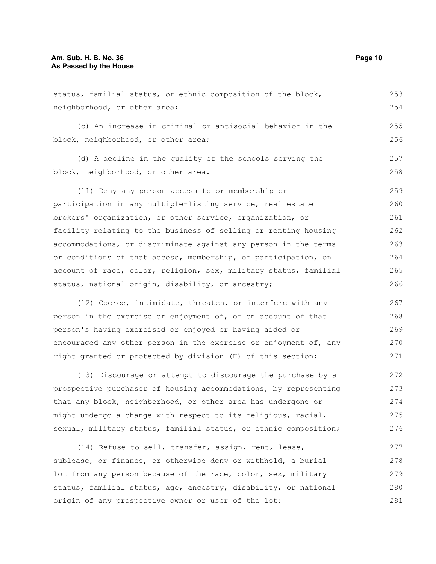| neighborhood, or other area;                                     |     |
|------------------------------------------------------------------|-----|
| (c) An increase in criminal or antisocial behavior in the        | 255 |
| block, neighborhood, or other area;                              | 256 |
| (d) A decline in the quality of the schools serving the          | 257 |
| block, neighborhood, or other area.                              | 258 |
| (11) Deny any person access to or membership or                  | 259 |
| participation in any multiple-listing service, real estate       | 260 |
| brokers' organization, or other service, organization, or        | 261 |
| facility relating to the business of selling or renting housing  | 262 |
| accommodations, or discriminate against any person in the terms  | 263 |
| or conditions of that access, membership, or participation, on   | 264 |
| account of race, color, religion, sex, military status, familial | 265 |
| status, national origin, disability, or ancestry;                | 266 |
| (12) Coerce, intimidate, threaten, or interfere with any         | 267 |
| person in the exercise or enjoyment of, or on account of that    | 268 |
| person's having exercised or enjoyed or having aided or          | 269 |
| encouraged any other person in the exercise or enjoyment of, any | 270 |
| right granted or protected by division (H) of this section;      | 271 |
| (13) Discourage or attempt to discourage the purchase by a       | 272 |
| prospective purchaser of housing accommodations, by representing | 273 |
| that any block, neighborhood, or other area has undergone or     | 274 |
| might undergo a change with respect to its religious, racial,    | 275 |
| sexual, military status, familial status, or ethnic composition; | 276 |
| (14) Refuse to sell, transfer, assign, rent, lease,              | 277 |
| sublease, or finance, or otherwise deny or withhold, a burial    | 278 |
| lot from any person because of the race, color, sex, military    | 279 |
| status, familial status, age, ancestry, disability, or national  | 280 |

status, familial status, or ethnic composition of the block,

origin of any prospective owner or user of the lot;

253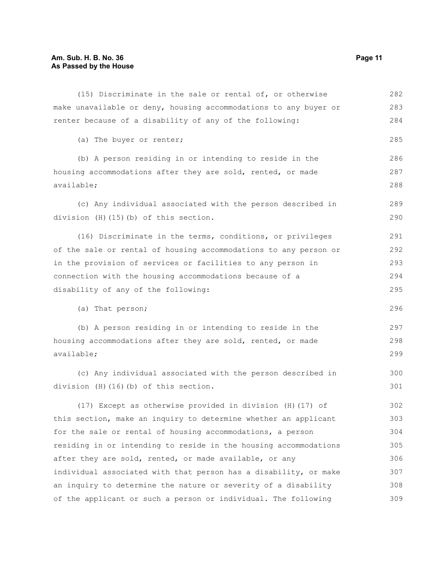### **Am. Sub. H. B. No. 36 Page 11 As Passed by the House**

| (15) Discriminate in the sale or rental of, or otherwise         | 282 |
|------------------------------------------------------------------|-----|
| make unavailable or deny, housing accommodations to any buyer or | 283 |
| renter because of a disability of any of the following:          | 284 |
| (a) The buyer or renter;                                         | 285 |
| (b) A person residing in or intending to reside in the           | 286 |
| housing accommodations after they are sold, rented, or made      | 287 |
| available;                                                       | 288 |
| (c) Any individual associated with the person described in       | 289 |
| division (H) (15) (b) of this section.                           | 290 |
| (16) Discriminate in the terms, conditions, or privileges        | 291 |
| of the sale or rental of housing accommodations to any person or | 292 |
| in the provision of services or facilities to any person in      | 293 |
| connection with the housing accommodations because of a          | 294 |
| disability of any of the following:                              | 295 |
| (a) That person;                                                 | 296 |
| (b) A person residing in or intending to reside in the           | 297 |
| housing accommodations after they are sold, rented, or made      |     |
| available;                                                       | 299 |
| (c) Any individual associated with the person described in       | 300 |
| division (H) (16) (b) of this section.                           | 301 |
| (17) Except as otherwise provided in division (H) (17) of        | 302 |
| this section, make an inquiry to determine whether an applicant  | 303 |
| for the sale or rental of housing accommodations, a person       | 304 |
| residing in or intending to reside in the housing accommodations | 305 |
| after they are sold, rented, or made available, or any           | 306 |
|                                                                  |     |
| individual associated with that person has a disability, or make | 307 |
| an inquiry to determine the nature or severity of a disability   | 308 |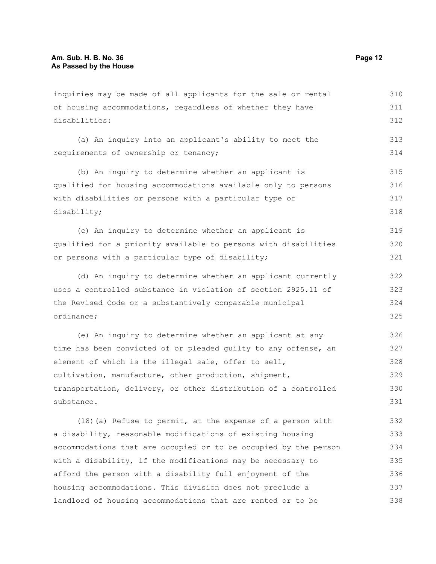inquiries may be made of all applicants for the sale or rental of housing accommodations, regardless of whether they have disabilities: (a) An inquiry into an applicant's ability to meet the requirements of ownership or tenancy; (b) An inquiry to determine whether an applicant is qualified for housing accommodations available only to persons with disabilities or persons with a particular type of disability; (c) An inquiry to determine whether an applicant is qualified for a priority available to persons with disabilities or persons with a particular type of disability; (d) An inquiry to determine whether an applicant currently uses a controlled substance in violation of section 2925.11 of the Revised Code or a substantively comparable municipal ordinance; (e) An inquiry to determine whether an applicant at any time has been convicted of or pleaded guilty to any offense, an element of which is the illegal sale, offer to sell, cultivation, manufacture, other production, shipment, transportation, delivery, or other distribution of a controlled substance. (18)(a) Refuse to permit, at the expense of a person with a disability, reasonable modifications of existing housing accommodations that are occupied or to be occupied by the person 310 311 312 313 314 315 316 317 318 319 320 321 322 323 324 325 326 327 328 329 330 331 332 333 334

with a disability, if the modifications may be necessary to afford the person with a disability full enjoyment of the housing accommodations. This division does not preclude a landlord of housing accommodations that are rented or to be 335 336 337 338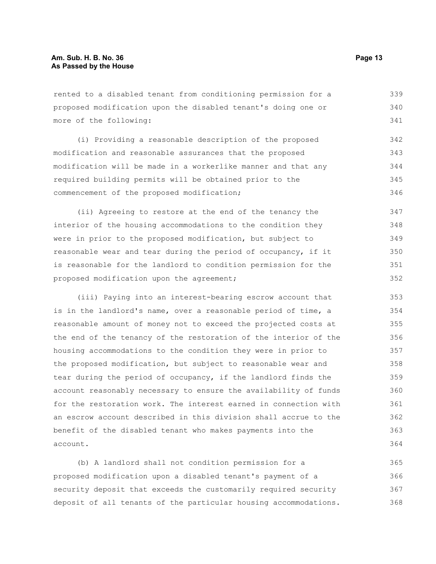rented to a disabled tenant from conditioning permission for a proposed modification upon the disabled tenant's doing one or more of the following: 339 340 341

(i) Providing a reasonable description of the proposed modification and reasonable assurances that the proposed modification will be made in a workerlike manner and that any required building permits will be obtained prior to the commencement of the proposed modification; 342 343 344 345 346

(ii) Agreeing to restore at the end of the tenancy the interior of the housing accommodations to the condition they were in prior to the proposed modification, but subject to reasonable wear and tear during the period of occupancy, if it is reasonable for the landlord to condition permission for the proposed modification upon the agreement; 347 348 349 350 351 352

(iii) Paying into an interest-bearing escrow account that is in the landlord's name, over a reasonable period of time, a reasonable amount of money not to exceed the projected costs at the end of the tenancy of the restoration of the interior of the housing accommodations to the condition they were in prior to the proposed modification, but subject to reasonable wear and tear during the period of occupancy, if the landlord finds the account reasonably necessary to ensure the availability of funds for the restoration work. The interest earned in connection with an escrow account described in this division shall accrue to the benefit of the disabled tenant who makes payments into the account.

(b) A landlord shall not condition permission for a proposed modification upon a disabled tenant's payment of a security deposit that exceeds the customarily required security deposit of all tenants of the particular housing accommodations. 365 366 367 368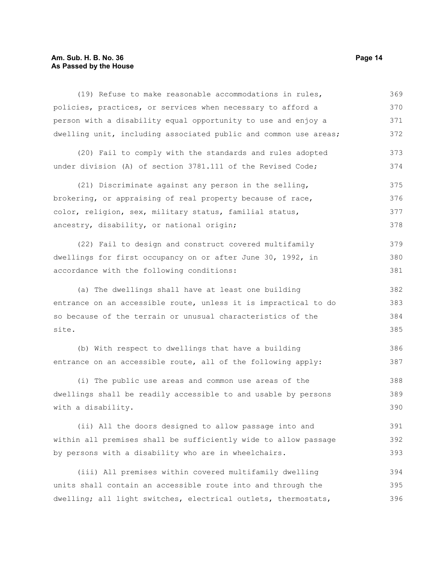### **Am. Sub. H. B. No. 36 Page 14 As Passed by the House**

(19) Refuse to make reasonable accommodations in rules, policies, practices, or services when necessary to afford a person with a disability equal opportunity to use and enjoy a dwelling unit, including associated public and common use areas; (20) Fail to comply with the standards and rules adopted under division (A) of section 3781.111 of the Revised Code; (21) Discriminate against any person in the selling, brokering, or appraising of real property because of race, color, religion, sex, military status, familial status, ancestry, disability, or national origin; (22) Fail to design and construct covered multifamily dwellings for first occupancy on or after June 30, 1992, in accordance with the following conditions: (a) The dwellings shall have at least one building entrance on an accessible route, unless it is impractical to do so because of the terrain or unusual characteristics of the site. (b) With respect to dwellings that have a building entrance on an accessible route, all of the following apply: (i) The public use areas and common use areas of the dwellings shall be readily accessible to and usable by persons with a disability. (ii) All the doors designed to allow passage into and within all premises shall be sufficiently wide to allow passage by persons with a disability who are in wheelchairs. (iii) All premises within covered multifamily dwelling units shall contain an accessible route into and through the dwelling; all light switches, electrical outlets, thermostats, 369 370 371 372 373 374 375 376 377 378 379 380 381 382 383 384 385 386 387 388 389 390 391 392 393 394 395 396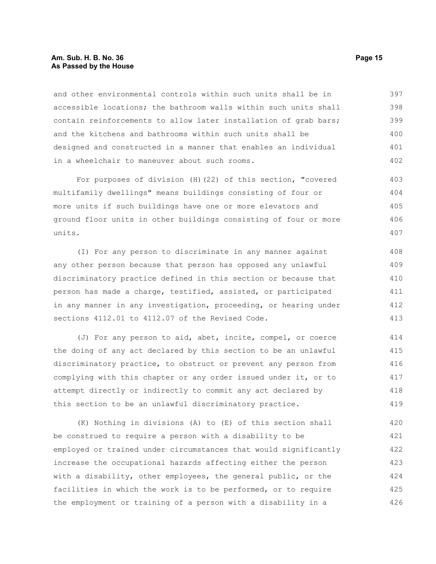### **Am. Sub. H. B. No. 36 Page 15 As Passed by the House**

and other environmental controls within such units shall be in accessible locations; the bathroom walls within such units shall contain reinforcements to allow later installation of grab bars; and the kitchens and bathrooms within such units shall be designed and constructed in a manner that enables an individual in a wheelchair to maneuver about such rooms. 397 398 399 400 401 402

For purposes of division (H)(22) of this section, "covered multifamily dwellings" means buildings consisting of four or more units if such buildings have one or more elevators and ground floor units in other buildings consisting of four or more units. 403 404 405 406 407

(I) For any person to discriminate in any manner against any other person because that person has opposed any unlawful discriminatory practice defined in this section or because that person has made a charge, testified, assisted, or participated in any manner in any investigation, proceeding, or hearing under sections 4112.01 to 4112.07 of the Revised Code. 408 409 410 411 412 413

(J) For any person to aid, abet, incite, compel, or coerce the doing of any act declared by this section to be an unlawful discriminatory practice, to obstruct or prevent any person from complying with this chapter or any order issued under it, or to attempt directly or indirectly to commit any act declared by this section to be an unlawful discriminatory practice. 414 415 416 417 418 419

(K) Nothing in divisions (A) to (E) of this section shall be construed to require a person with a disability to be employed or trained under circumstances that would significantly increase the occupational hazards affecting either the person with a disability, other employees, the general public, or the facilities in which the work is to be performed, or to require the employment or training of a person with a disability in a 420 421 422 423 424 425 426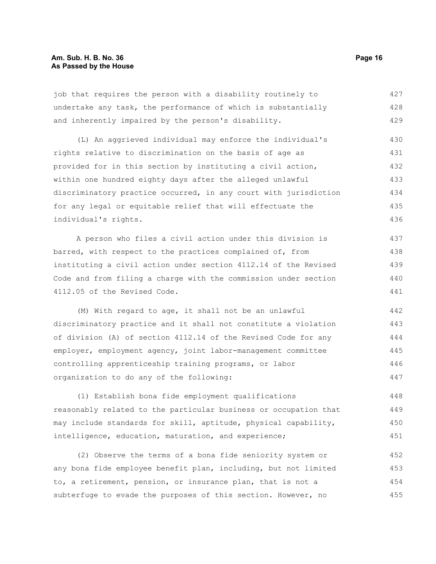job that requires the person with a disability routinely to undertake any task, the performance of which is substantially and inherently impaired by the person's disability. 427 428 429

(L) An aggrieved individual may enforce the individual's rights relative to discrimination on the basis of age as provided for in this section by instituting a civil action, within one hundred eighty days after the alleged unlawful discriminatory practice occurred, in any court with jurisdiction for any legal or equitable relief that will effectuate the individual's rights. 430 431 432 433 434 435 436

A person who files a civil action under this division is barred, with respect to the practices complained of, from instituting a civil action under section 4112.14 of the Revised Code and from filing a charge with the commission under section 4112.05 of the Revised Code. 437 438 439 440 441

(M) With regard to age, it shall not be an unlawful discriminatory practice and it shall not constitute a violation of division (A) of section 4112.14 of the Revised Code for any employer, employment agency, joint labor-management committee controlling apprenticeship training programs, or labor organization to do any of the following: 442 443 444 445 446 447

(1) Establish bona fide employment qualifications reasonably related to the particular business or occupation that may include standards for skill, aptitude, physical capability, intelligence, education, maturation, and experience; 448 449 450 451

(2) Observe the terms of a bona fide seniority system or any bona fide employee benefit plan, including, but not limited to, a retirement, pension, or insurance plan, that is not a subterfuge to evade the purposes of this section. However, no 452 453 454 455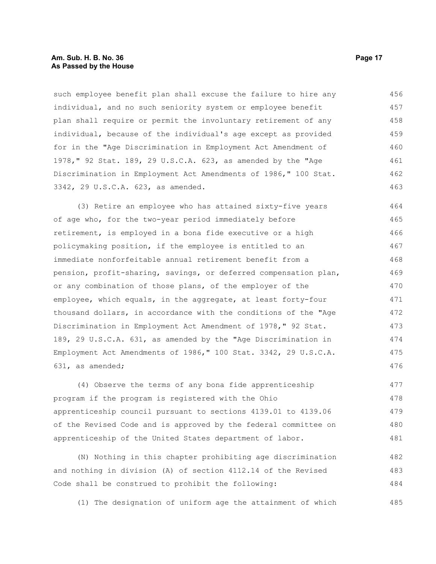### **Am. Sub. H. B. No. 36 Page 17 As Passed by the House**

such employee benefit plan shall excuse the failure to hire any individual, and no such seniority system or employee benefit plan shall require or permit the involuntary retirement of any individual, because of the individual's age except as provided for in the "Age Discrimination in Employment Act Amendment of 1978," 92 Stat. 189, 29 U.S.C.A. 623, as amended by the "Age Discrimination in Employment Act Amendments of 1986," 100 Stat. 3342, 29 U.S.C.A. 623, as amended. 456 457 458 459 460 461 462 463

(3) Retire an employee who has attained sixty-five years of age who, for the two-year period immediately before retirement, is employed in a bona fide executive or a high policymaking position, if the employee is entitled to an immediate nonforfeitable annual retirement benefit from a pension, profit-sharing, savings, or deferred compensation plan, or any combination of those plans, of the employer of the employee, which equals, in the aggregate, at least forty-four thousand dollars, in accordance with the conditions of the "Age Discrimination in Employment Act Amendment of 1978," 92 Stat. 189, 29 U.S.C.A. 631, as amended by the "Age Discrimination in Employment Act Amendments of 1986," 100 Stat. 3342, 29 U.S.C.A. 631, as amended; 464 465 466 467 468 469 470 471 472 473 474 475 476

(4) Observe the terms of any bona fide apprenticeship program if the program is registered with the Ohio apprenticeship council pursuant to sections 4139.01 to 4139.06 of the Revised Code and is approved by the federal committee on apprenticeship of the United States department of labor. 477 478 479 480 481

(N) Nothing in this chapter prohibiting age discrimination and nothing in division (A) of section 4112.14 of the Revised Code shall be construed to prohibit the following: 482 483 484

(1) The designation of uniform age the attainment of which 485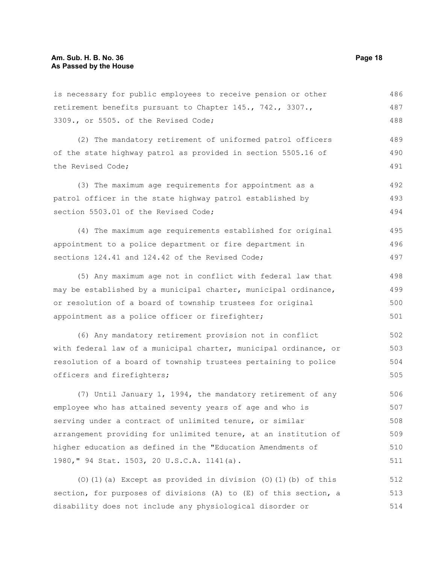is necessary for public employees to receive pension or other retirement benefits pursuant to Chapter 145., 742., 3307., 3309., or 5505. of the Revised Code; 486 487 488

(2) The mandatory retirement of uniformed patrol officers of the state highway patrol as provided in section 5505.16 of the Revised Code; 489 490 491

(3) The maximum age requirements for appointment as a patrol officer in the state highway patrol established by section 5503.01 of the Revised Code; 492 493 494

(4) The maximum age requirements established for original appointment to a police department or fire department in sections 124.41 and 124.42 of the Revised Code; 495 496 497

(5) Any maximum age not in conflict with federal law that may be established by a municipal charter, municipal ordinance, or resolution of a board of township trustees for original appointment as a police officer or firefighter; 498 499 500 501

(6) Any mandatory retirement provision not in conflict with federal law of a municipal charter, municipal ordinance, or resolution of a board of township trustees pertaining to police officers and firefighters; 502 503 504 505

(7) Until January 1, 1994, the mandatory retirement of any employee who has attained seventy years of age and who is serving under a contract of unlimited tenure, or similar arrangement providing for unlimited tenure, at an institution of higher education as defined in the "Education Amendments of 1980," 94 Stat. 1503, 20 U.S.C.A. 1141(a). 506 507 508 509 510 511

(O)(1)(a) Except as provided in division (O)(1)(b) of this section, for purposes of divisions (A) to (E) of this section, a disability does not include any physiological disorder or 512 513 514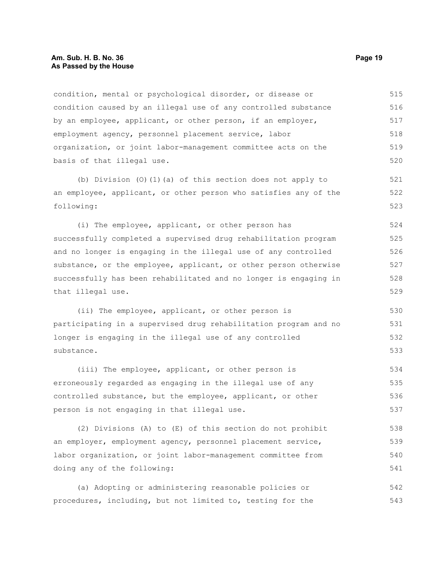### **Am. Sub. H. B. No. 36 Page 19 As Passed by the House**

condition, mental or psychological disorder, or disease or condition caused by an illegal use of any controlled substance by an employee, applicant, or other person, if an employer, employment agency, personnel placement service, labor organization, or joint labor-management committee acts on the basis of that illegal use. 515 516 517 518 519 520

(b) Division (O)(1)(a) of this section does not apply to an employee, applicant, or other person who satisfies any of the following: 521 522 523

(i) The employee, applicant, or other person has successfully completed a supervised drug rehabilitation program and no longer is engaging in the illegal use of any controlled substance, or the employee, applicant, or other person otherwise successfully has been rehabilitated and no longer is engaging in that illegal use. 524 525 526 527 528 529

(ii) The employee, applicant, or other person is participating in a supervised drug rehabilitation program and no longer is engaging in the illegal use of any controlled substance.

(iii) The employee, applicant, or other person is erroneously regarded as engaging in the illegal use of any controlled substance, but the employee, applicant, or other person is not engaging in that illegal use. 534 535 536 537

(2) Divisions (A) to (E) of this section do not prohibit an employer, employment agency, personnel placement service, labor organization, or joint labor-management committee from doing any of the following: 538 539 540 541

(a) Adopting or administering reasonable policies or procedures, including, but not limited to, testing for the 542 543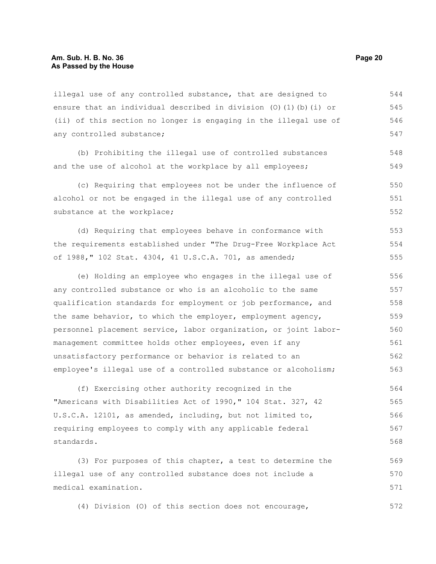illegal use of any controlled substance, that are designed to ensure that an individual described in division (O)(1)(b)(i) or (ii) of this section no longer is engaging in the illegal use of any controlled substance; 544 545 546 547

(b) Prohibiting the illegal use of controlled substances and the use of alcohol at the workplace by all employees;

(c) Requiring that employees not be under the influence of alcohol or not be engaged in the illegal use of any controlled substance at the workplace; 550 551 552

(d) Requiring that employees behave in conformance with the requirements established under "The Drug-Free Workplace Act of 1988," 102 Stat. 4304, 41 U.S.C.A. 701, as amended; 553 554 555

(e) Holding an employee who engages in the illegal use of any controlled substance or who is an alcoholic to the same qualification standards for employment or job performance, and the same behavior, to which the employer, employment agency, personnel placement service, labor organization, or joint labormanagement committee holds other employees, even if any unsatisfactory performance or behavior is related to an employee's illegal use of a controlled substance or alcoholism; 556 557 558 559 560 561 562 563

(f) Exercising other authority recognized in the "Americans with Disabilities Act of 1990," 104 Stat. 327, 42 U.S.C.A. 12101, as amended, including, but not limited to, requiring employees to comply with any applicable federal standards. 564 565 566 567 568

(3) For purposes of this chapter, a test to determine the illegal use of any controlled substance does not include a medical examination. 569 570 571

(4) Division (O) of this section does not encourage, 572